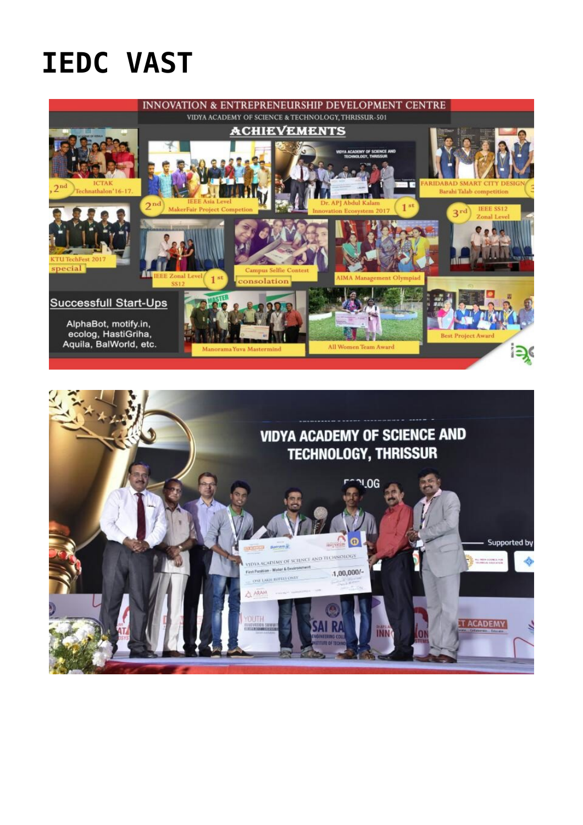## **IEDC VAST**



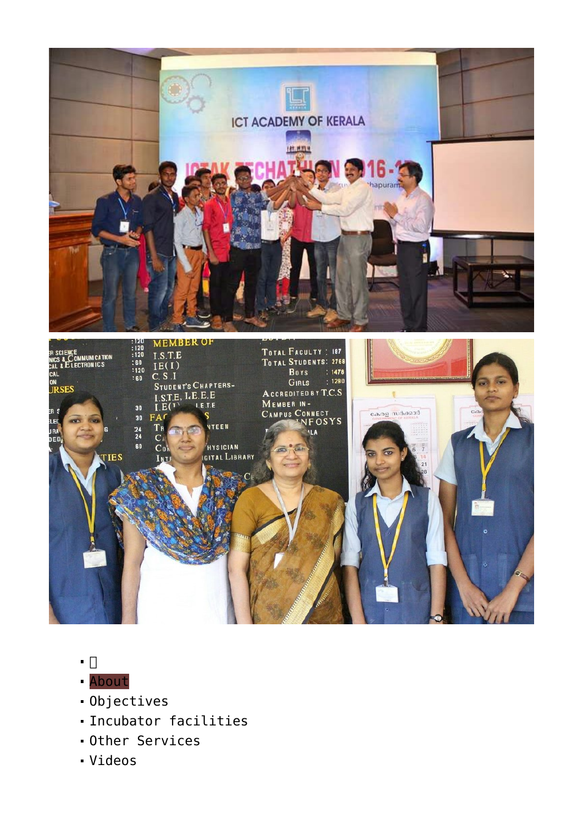



- $\blacksquare$
- [About](#page--1-0)
- [Objectives](#page--1-0)
- [Incubator facilities](#page--1-0)
- [Other Services](#page--1-0)
- [Videos](#page--1-0)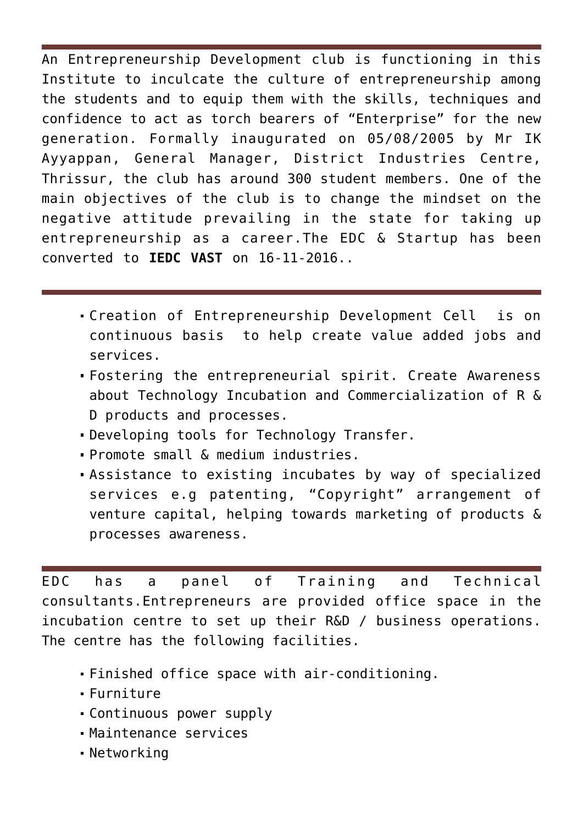An Entrepreneurship Development club is functioning in this Institute to inculcate the culture of entrepreneurship among the students and to equip them with the skills, techniques and confidence to act as torch bearers of "Enterprise" for the new generation. Formally inaugurated on 05/08/2005 by Mr IK Ayyappan, General Manager, District Industries Centre, Thrissur, the club has around 300 student members. One of the main objectives of the club is to change the mindset on the negative attitude prevailing in the state for taking up entrepreneurship as a career.The EDC & Startup has been converted to **IEDC VAST** on 16-11-2016..

- Creation of Entrepreneurship Development Cell is on continuous basis to help create value added jobs and services.
- Fostering the entrepreneurial spirit. Create Awareness about Technology Incubation and Commercialization of R & D products and processes.
- Developing tools for Technology Transfer.
- Promote small & medium industries.
- Assistance to existing incubates by way of specialized services e.g patenting, "Copyright" arrangement of venture capital, helping towards marketing of products & processes awareness.

EDC has a panel of Training and Technical consultants.Entrepreneurs are provided office space in the incubation centre to set up their R&D / business operations. The centre has the following facilities.

- Finished office space with air-conditioning.
- Furniture
- Continuous power supply
- Maintenance services
- Networking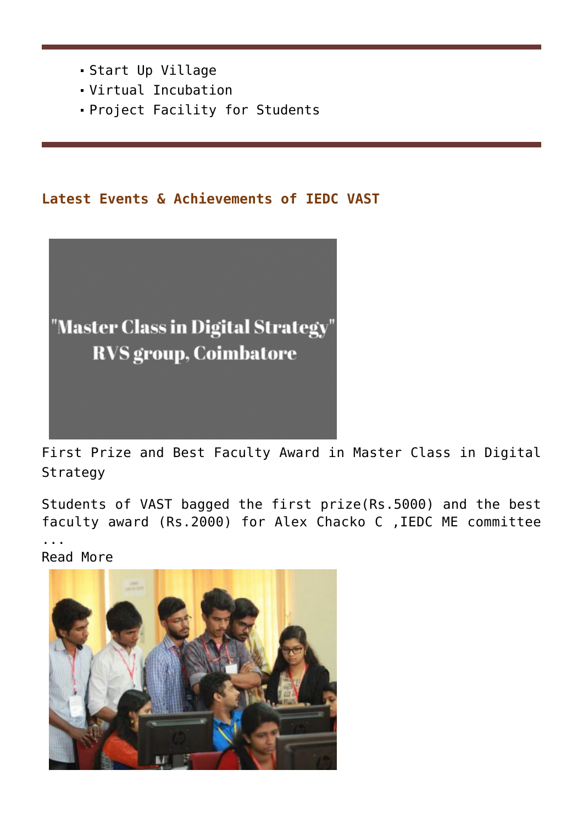- Start Up Village
- Virtual Incubation
- Project Facility for Students

## **Latest Events & Achievements of IEDC VAST**



[First Prize and Best Faculty Award in Master Class in Digital](https://news.vidyaacademy.ac.in/2017/03/17/first-prize-and-best-faculty-award-in-master-class-in-digital-strategy/) [Strategy](https://news.vidyaacademy.ac.in/2017/03/17/first-prize-and-best-faculty-award-in-master-class-in-digital-strategy/)

Students of VAST bagged the first prize(Rs.5000) and the best faculty award (Rs.2000) for Alex Chacko C ,IEDC ME committee ... [Read More](https://news.vidyaacademy.ac.in/2017/03/17/first-prize-and-best-faculty-award-in-master-class-in-digital-strategy/)

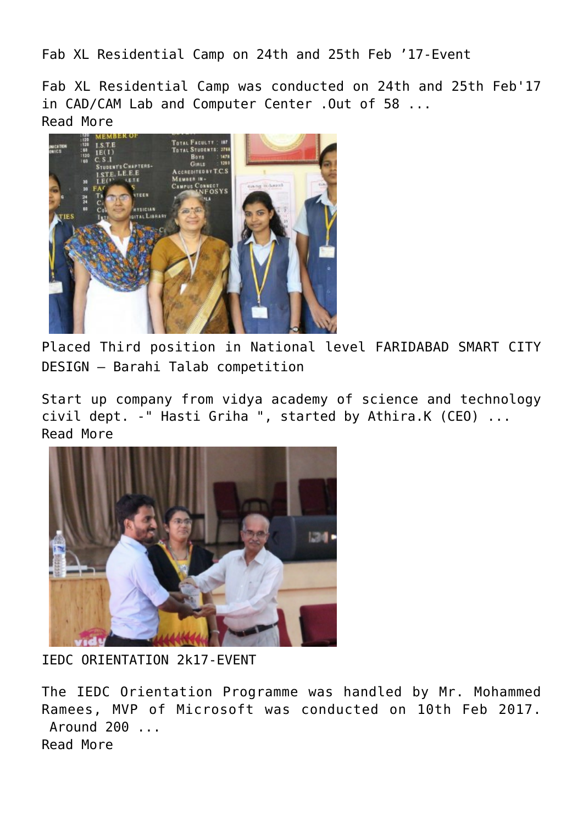[Fab XL Residential Camp on 24th and 25th Feb '17-Event](https://news.vidyaacademy.ac.in/2017/02/25/fab-xl-residential-camp-on-24th-and-25th-feb-17-event/)

Fab XL Residential Camp was conducted on 24th and 25th Feb'17 in CAD/CAM Lab and Computer Center .Out of 58 ... [Read More](https://news.vidyaacademy.ac.in/2017/02/25/fab-xl-residential-camp-on-24th-and-25th-feb-17-event/)



[Placed Third position in National level FARIDABAD SMART CITY](https://news.vidyaacademy.ac.in/2017/02/17/placed-third-position-in-national-level-faridabad-smart-city-design-barahi-talab-competition/) [DESIGN – Barahi Talab competition](https://news.vidyaacademy.ac.in/2017/02/17/placed-third-position-in-national-level-faridabad-smart-city-design-barahi-talab-competition/)

Start up company from vidya academy of science and technology civil dept. -" Hasti Griha ", started by Athira.K (CEO) ... [Read More](https://news.vidyaacademy.ac.in/2017/02/17/placed-third-position-in-national-level-faridabad-smart-city-design-barahi-talab-competition/)



[IEDC ORIENTATION 2k17-EVENT](https://news.vidyaacademy.ac.in/2017/02/10/iedc-orientation-2k17-event/)

The IEDC Orientation Programme was handled by Mr. Mohammed Ramees, MVP of Microsoft was conducted on 10th Feb 2017. Around 200 ... [Read More](https://news.vidyaacademy.ac.in/2017/02/10/iedc-orientation-2k17-event/)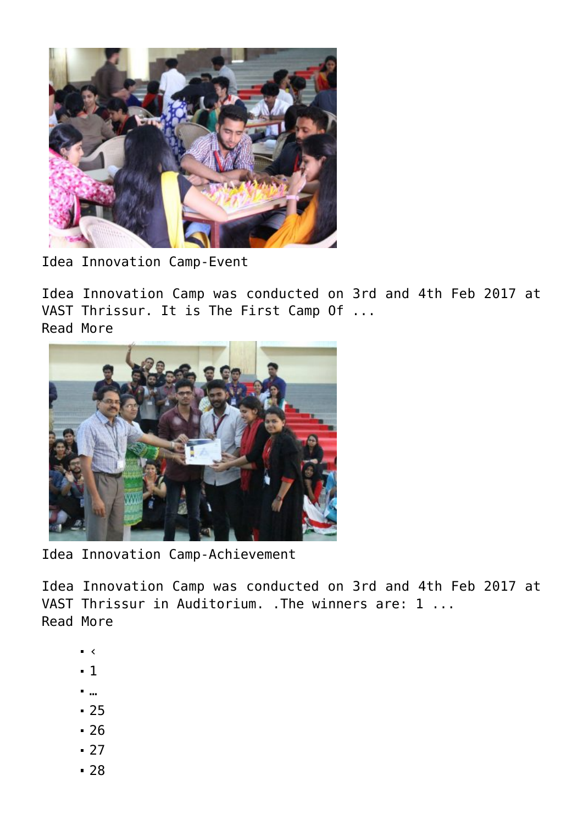

[Idea Innovation Camp-Event](https://news.vidyaacademy.ac.in/2017/02/04/idea-innovation-camp-event/)

Idea Innovation Camp was conducted on 3rd and 4th Feb 2017 at VAST Thrissur. It is The First Camp Of ... [Read More](https://news.vidyaacademy.ac.in/2017/02/04/idea-innovation-camp-event/)



[Idea Innovation Camp-Achievement](https://news.vidyaacademy.ac.in/2017/02/04/idea-innovation-camp-achievement/)

Idea Innovation Camp was conducted on 3rd and 4th Feb 2017 at VAST Thrissur in Auditorium. .The winners are: 1 ... [Read More](https://news.vidyaacademy.ac.in/2017/02/04/idea-innovation-camp-achievement/)

- $\bullet$  <
- $-1$  $-1$
- […](#page--1-0)
- [25](https://news.vidyaacademy.ac.in/iedc/?_page=25&print=pdf)
- [26](https://news.vidyaacademy.ac.in/iedc/?_page=26&print=pdf)
- $-27$  $-27$
- [28](https://news.vidyaacademy.ac.in/iedc/?_page=28&print=pdf)